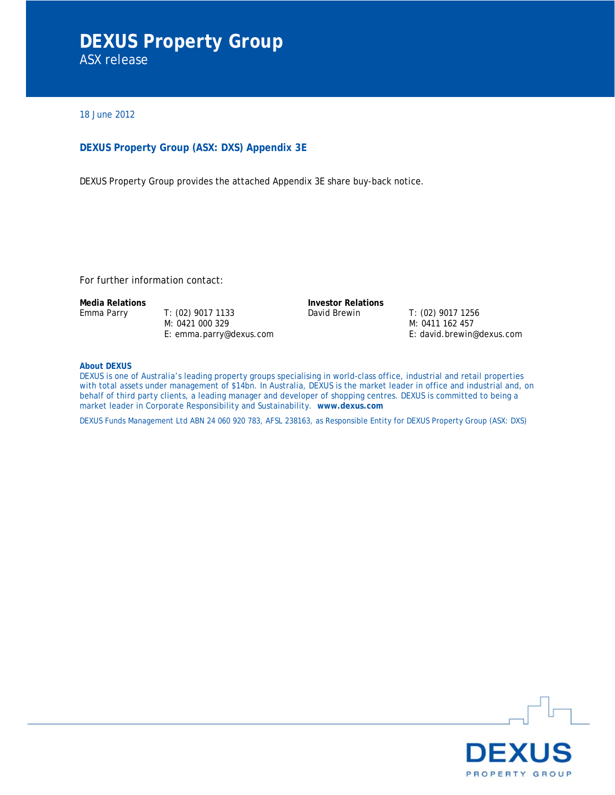# **DEXUS Property Group**  ASX release

18 June 2012

#### **DEXUS Property Group (ASX: DXS) Appendix 3E**

DEXUS Property Group provides the attached Appendix 3E share buy-back notice.

For further information contact:

Emma Parry T: (02) 9017 1133 M: 0421 000 329 E: emma.parry@dexus.com

**Media Relations Investor Relations** David Brewin T: (02) 9017 1256

M: 0411 162 457 E: david.brewin@dexus.com

**About DEXUS** 

DEXUS is one of Australia's leading property groups specialising in world-class office, industrial and retail properties with total assets under management of \$14bn. In Australia, DEXUS is the market leader in office and industrial and, on behalf of third party clients, a leading manager and developer of shopping centres. DEXUS is committed to being a market leader in Corporate Responsibility and Sustainability. **www.dexus.com**

DEXUS Funds Management Ltd ABN 24 060 920 783, AFSL 238163, as Responsible Entity for DEXUS Property Group (ASX: DXS)

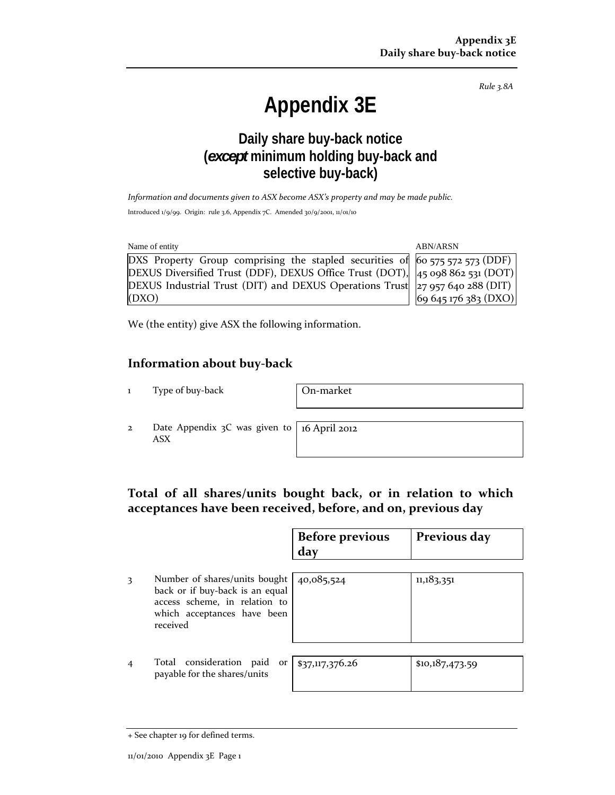*Rule 3.8A*

# **Appendix 3E**

# **Daily share buy-back notice (***except* **minimum holding buy-back and selective buy-back)**

*Information and documents given to ASX become ASX's property and may be made public.*

Introduced 1/9/99. Origin: rule 3.6, Appendix 7C. Amended 30/9/2001, 11/01/10

| Name of entity                                                                                                   | <b>ABN/ARSN</b>      |
|------------------------------------------------------------------------------------------------------------------|----------------------|
| DXS Property Group comprising the stapled securities of $\vert$ 60 575 572 573 (DDF) $\vert$                     |                      |
| DEXUS Diversified Trust (DDF), DEXUS Office Trust (DOT), $ 45 \text{ o}98 \text{ 862} \text{ 531} (\text{DOT}) $ |                      |
| DEXUS Industrial Trust (DIT) and DEXUS Operations Trust $ z_7 $ 957 640 288 (DIT)                                |                      |
| (DXO)                                                                                                            | 69 645 176 383 (DXO) |

We (the entity) give ASX the following information.

## **Information about buy‐back**

1 Type of buy-back | On-market

2 Date Appendix 3C was given to ASX

16 April 2012

## **Total of all shares/units bought back, or in relation to which acceptances have been received, before, and on, previous day**

|                                                                                                                                              | <b>Before previous</b><br>day | Previous day    |
|----------------------------------------------------------------------------------------------------------------------------------------------|-------------------------------|-----------------|
| Number of shares/units bought<br>back or if buy-back is an equal<br>access scheme, in relation to<br>which acceptances have been<br>received | 40,085,524                    | 11,183,351      |
| Total consideration paid<br>or<br>payable for the shares/units                                                                               | \$37,117,376.26               | \$10,187,473.59 |

<sup>+</sup> See chapter 19 for defined terms.